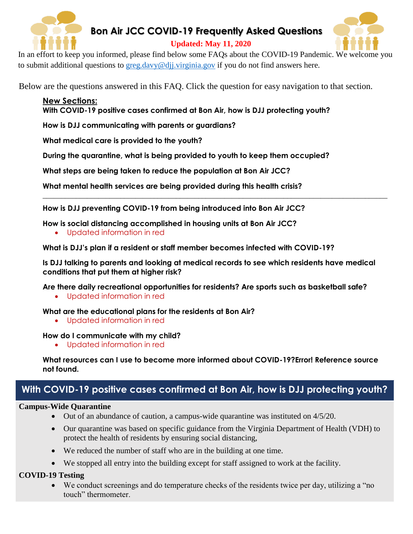

### **Bon Air JCC COVID-19 Frequently Asked Questions**

#### **Updated: May 11, 2020**



In an effort to keep you informed, please find below some FAQs about the COVID-19 Pandemic. We welcome you to submit additional questions to [greg.davy@djj.virginia.gov](mailto:greg.davy@djj.virginia.gov) if you do not find answers here.

Below are the questions answered in this FAQ. Click the question for easy navigation to that section.

**New Sections: [With COVID-19 positive cases confirmed at Bon Air, how is DJJ protecting youth?](#page-0-0)**

**[How is DJJ communicating with parents or guardians?](#page-1-0)**

**[What medical care is provided to the youth?](#page-1-1)**

**[During the quarantine, what is being provided to youth to keep them occupied?](#page-2-0)**

**[What steps are being taken to reduce the population at Bon Air JCC?](#page-2-1)**

**[What mental health services are being provided during this health crisis?](#page-2-2)**

**[How is DJJ preventing COVID-19 from being introduced into Bon Air JCC?](#page-2-3)**

**[How is social distancing accomplished in housing units at Bon Air JCC?](#page-3-0)**

Updated information in red

**[What is DJJ's plan if a resident or staff member](#page-3-1) becomes infected with COVID-19?**

**[Is DJJ talking to parents and looking at medical records to see which residents have medical](#page-3-2)  [conditions that put them at higher risk?](#page-3-2)**

**\_\_\_\_\_\_\_\_\_\_\_\_\_\_\_\_\_\_\_\_\_\_\_\_\_\_\_\_\_\_\_\_\_\_\_\_\_\_\_\_\_\_\_\_\_\_\_\_\_\_\_\_\_\_\_\_\_\_\_\_\_\_\_\_\_\_\_\_\_\_\_\_\_\_\_\_\_\_\_\_\_\_\_\_\_\_\_\_\_\_\_\_\_**

**[Are there daily recreational opportunities for residents? Are sports such as basketball safe?](#page-3-3)**

Updated information in red

**[What are the educational plans for the residents at Bon Air?](#page-4-0)**

Updated information in red

**[How do I communicate with my child?](#page-4-1)**

Updated information in red

**[What resources can I use to become more informed about COVID-19?Error! Reference source](#page-5-0)  not found.**

# <span id="page-0-0"></span>**With COVID-19 positive cases confirmed at Bon Air, how is DJJ protecting youth?**

#### **Campus-Wide Quarantine**

- $\bullet$  Out of an abundance of caution, a campus-wide quarantine was instituted on 4/5/20.
- Our quarantine was based on specific guidance from the Virginia Department of Health (VDH) to protect the health of residents by ensuring social distancing,
- We reduced the number of staff who are in the building at one time.
- We stopped all entry into the building except for staff assigned to work at the facility.

#### **COVID-19 Testing**

 We conduct screenings and do temperature checks of the residents twice per day, utilizing a "no touch" thermometer.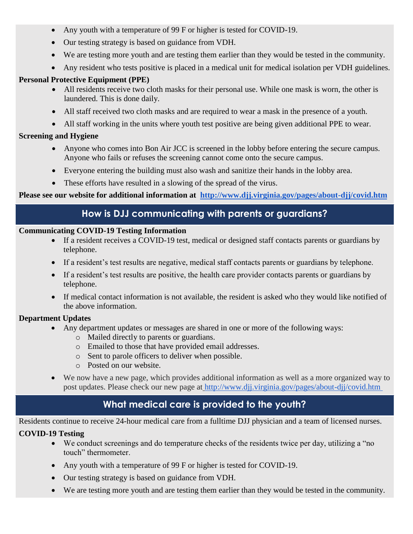- Any youth with a temperature of 99 F or higher is tested for COVID-19.
- Our testing strategy is based on guidance from VDH.
- We are testing more youth and are testing them earlier than they would be tested in the community.
- Any resident who tests positive is placed in a medical unit for medical isolation per VDH guidelines.

#### **Personal Protective Equipment (PPE)**

- All residents receive two cloth masks for their personal use. While one mask is worn, the other is laundered. This is done daily.
- All staff received two cloth masks and are required to wear a mask in the presence of a youth.
- All staff working in the units where youth test positive are being given additional PPE to wear.

#### **Screening and Hygiene**

- Anyone who comes into Bon Air JCC is screened in the lobby before entering the secure campus. Anyone who fails or refuses the screening cannot come onto the secure campus.
- Everyone entering the building must also wash and sanitize their hands in the lobby area.
- These efforts have resulted in a slowing of the spread of the virus.

#### <span id="page-1-0"></span>**Please see our website for additional information at <http://www.djj.virginia.gov/pages/about-djj/covid.htm>**

### **How is DJJ communicating with parents or guardians?**

#### **Communicating COVID-19 Testing Information**

- If a resident receives a COVID-19 test, medical or designed staff contacts parents or guardians by telephone.
- If a resident's test results are negative, medical staff contacts parents or guardians by telephone.
- If a resident's test results are positive, the health care provider contacts parents or guardians by telephone.
- If medical contact information is not available, the resident is asked who they would like notified of the above information.

#### **Department Updates**

- Any department updates or messages are shared in one or more of the following ways:
	- o Mailed directly to parents or guardians.
	- o Emailed to those that have provided email addresses.
	- o Sent to parole officers to deliver when possible.
	- o Posted on our website.
- We now have a new page, which provides additional information as well as a more organized way to post updates. Please check our new page at <http://www.djj.virginia.gov/pages/about-djj/covid.htm>

# **What medical care is provided to the youth?**

<span id="page-1-1"></span>Residents continue to receive 24-hour medical care from a fulltime DJJ physician and a team of licensed nurses.

#### **COVID-19 Testing**

- We conduct screenings and do temperature checks of the residents twice per day, utilizing a "no touch" thermometer.
- Any youth with a temperature of 99 F or higher is tested for COVID-19.
- Our testing strategy is based on guidance from VDH.
- We are testing more youth and are testing them earlier than they would be tested in the community.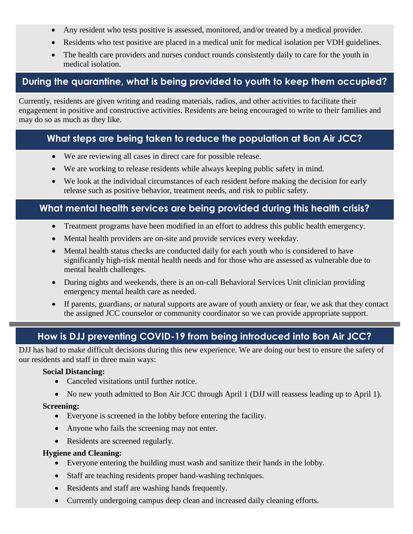- Any resident who tests positive is assessed, monitored, and/or treated by a medical provider.
- Residents who test positive are placed in a medical unit for medical isolation per VDH guidelines.
- The health care providers and nurses conduct rounds consistently daily to care for the youth in medical isolation.

## <span id="page-2-0"></span>**During the quarantine, what is being provided to youth to keep them occupied?**

Currently, residents are given writing and reading materials, radios, and other activities to facilitate their engagement in positive and constructive activities. Residents are being encouraged to write to their families and may do so as much as they like.

## <span id="page-2-1"></span>**What steps are being taken to reduce the population at Bon Air JCC?**

- We are reviewing all cases in direct care for possible release.
- We are working to release residents while always keeping public safety in mind.
- We look at the individual circumstances of each resident before making the decision for early release such as positive behavior, treatment needs, and risk to public safety.

### <span id="page-2-2"></span>**What mental health services are being provided during this health crisis?**

- Treatment programs have been modified in an effort to address this public health emergency.
- Mental health providers are on-site and provide services every weekday.
- Mental health status checks are conducted daily for each youth who is considered to have significantly high-risk mental health needs and for those who are assessed as vulnerable due to mental health challenges.
- During nights and weekends, there is an on-call Behavioral Services Unit clinician providing emergency mental health care as needed.
- If parents, guardians, or natural supports are aware of youth anxiety or fear, we ask that they contact the assigned JCC counselor or community coordinator so we can provide appropriate support.

# **How is DJJ preventing COVID-19 from being introduced into Bon Air JCC?**

<span id="page-2-3"></span>DJJ has had to make difficult decisions during this new experience. We are doing our best to ensure the safety of our residents and staff in three main ways:

#### **Social Distancing:**

- Canceled visitations until further notice.
- No new youth admitted to Bon Air JCC through April 1 (DJJ will reassess leading up to April 1).

#### **Screening:**

- Everyone is screened in the lobby before entering the facility.
- Anyone who fails the screening may not enter.
- Residents are screened regularly.

#### **Hygiene and Cleaning:**

- Everyone entering the building must wash and sanitize their hands in the lobby.
- Staff are teaching residents proper hand-washing techniques.
- Residents and staff are washing hands frequently.
- Currently undergoing campus deep clean and increased daily cleaning efforts.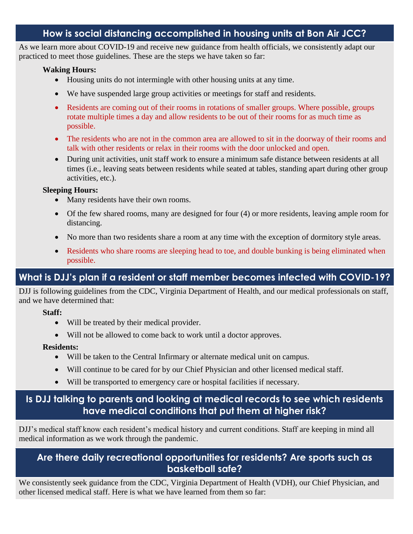### **How is social distancing accomplished in housing units at Bon Air JCC?**

<span id="page-3-0"></span>As we learn more about COVID-19 and receive new guidance from health officials, we consistently adapt our practiced to meet those guidelines. These are the steps we have taken so far:

#### **Waking Hours:**

- Housing units do not intermingle with other housing units at any time.
- We have suspended large group activities or meetings for staff and residents.
- Residents are coming out of their rooms in rotations of smaller groups. Where possible, groups rotate multiple times a day and allow residents to be out of their rooms for as much time as possible.
- The residents who are not in the common area are allowed to sit in the doorway of their rooms and talk with other residents or relax in their rooms with the door unlocked and open.
- During unit activities, unit staff work to ensure a minimum safe distance between residents at all times (i.e., leaving seats between residents while seated at tables, standing apart during other group activities, etc.).

#### **Sleeping Hours:**

- Many residents have their own rooms.
- Of the few shared rooms, many are designed for four (4) or more residents, leaving ample room for distancing.
- No more than two residents share a room at any time with the exception of dormitory style areas.
- Residents who share rooms are sleeping head to toe, and double bunking is being eliminated when possible.

# <span id="page-3-1"></span>**What is DJJ's plan if a resident or staff member becomes infected with COVID-19?**

DJJ is following guidelines from the CDC, Virginia Department of Health, and our medical professionals on staff, and we have determined that:

#### **Staff:**

- Will be treated by their medical provider.
- Will not be allowed to come back to work until a doctor approves.

#### **Residents:**

- Will be taken to the Central Infirmary or alternate medical unit on campus.
- Will continue to be cared for by our Chief Physician and other licensed medical staff.
- Will be transported to emergency care or hospital facilities if necessary.

### <span id="page-3-2"></span>**Is DJJ talking to parents and looking at medical records to see which residents have medical conditions that put them at higher risk?**

DJJ's medical staff know each resident's medical history and current conditions. Staff are keeping in mind all medical information as we work through the pandemic.

### <span id="page-3-3"></span>**Are there daily recreational opportunities for residents? Are sports such as basketball safe?**

We consistently seek guidance from the CDC, Virginia Department of Health (VDH), our Chief Physician, and other licensed medical staff. Here is what we have learned from them so far: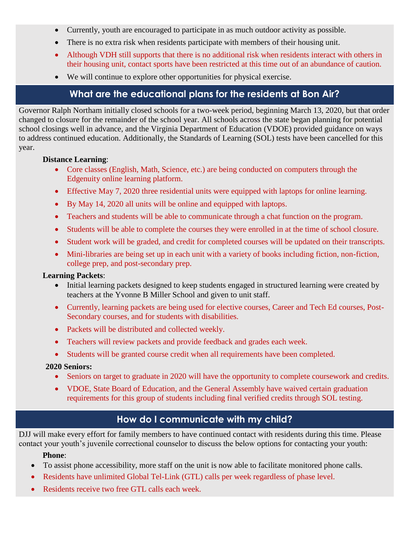- Currently, youth are encouraged to participate in as much outdoor activity as possible.
- There is no extra risk when residents participate with members of their housing unit.
- Although VDH still supports that there is no additional risk when residents interact with others in their housing unit, contact sports have been restricted at this time out of an abundance of caution.
- We will continue to explore other opportunities for physical exercise.

### **What are the educational plans for the residents at Bon Air?**

<span id="page-4-0"></span>Governor Ralph Northam initially closed schools for a two-week period, beginning March 13, 2020, but that order changed to closure for the remainder of the school year. All schools across the state began planning for potential school closings well in advance, and the Virginia Department of Education (VDOE) provided guidance on ways to address continued education. Additionally, the Standards of Learning (SOL) tests have been cancelled for this year.

#### **Distance Learning**:

- Core classes (English, Math, Science, etc.) are being conducted on computers through the Edgenuity online learning platform.
- Effective May 7, 2020 three residential units were equipped with laptops for online learning.
- By May 14, 2020 all units will be online and equipped with laptops.
- Teachers and students will be able to communicate through a chat function on the program.
- Students will be able to complete the courses they were enrolled in at the time of school closure.
- Student work will be graded, and credit for completed courses will be updated on their transcripts.
- Mini-libraries are being set up in each unit with a variety of books including fiction, non-fiction, college prep, and post-secondary prep.

#### **Learning Packets**:

- Initial learning packets designed to keep students engaged in structured learning were created by teachers at the Yvonne B Miller School and given to unit staff.
- Currently, learning packets are being used for elective courses, Career and Tech Ed courses, Post-Secondary courses, and for students with disabilities.
- Packets will be distributed and collected weekly.
- Teachers will review packets and provide feedback and grades each week.
- Students will be granted course credit when all requirements have been completed.

#### **2020 Seniors:**

- Seniors on target to graduate in 2020 will have the opportunity to complete coursework and credits.
- VDOE, State Board of Education, and the General Assembly have waived certain graduation requirements for this group of students including final verified credits through SOL testing.

# **How do I communicate with my child?**

<span id="page-4-1"></span>DJJ will make every effort for family members to have continued contact with residents during this time. Please contact your youth's juvenile correctional counselor to discuss the below options for contacting your youth:

#### **Phone**:

- To assist phone accessibility, more staff on the unit is now able to facilitate monitored phone calls.
- Residents have unlimited Global Tel-Link (GTL) calls per week regardless of phase level.
- Residents receive two free GTL calls each week.